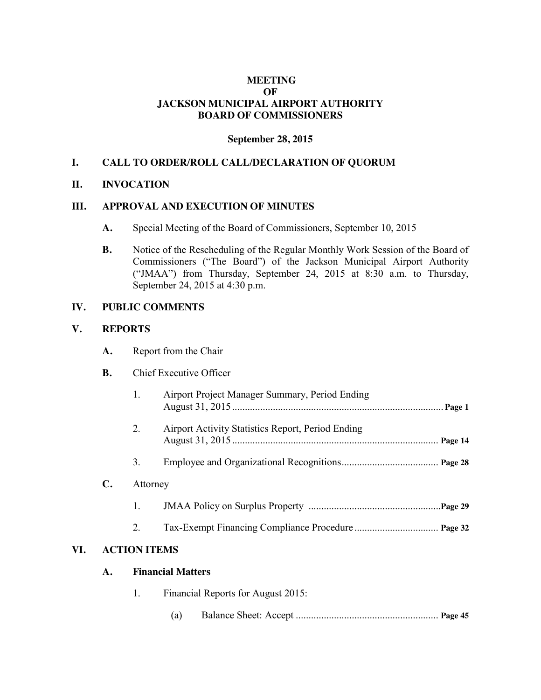## **MEETING OF JACKSON MUNICIPAL AIRPORT AUTHORITY BOARD OF COMMISSIONERS**

### **September 28, 2015**

## **I. CALL TO ORDER/ROLL CALL/DECLARATION OF QUORUM**

### **II. INVOCATION**

### **III. APPROVAL AND EXECUTION OF MINUTES**

- **A.** Special Meeting of the Board of Commissioners, September 10, 2015
- **B.** Notice of the Rescheduling of the Regular Monthly Work Session of the Board of Commissioners ("The Board") of the Jackson Municipal Airport Authority ("JMAA") from Thursday, September 24, 2015 at 8:30 a.m. to Thursday, September 24, 2015 at 4:30 p.m.

### **IV. PUBLIC COMMENTS**

#### **V. REPORTS**

|     | A.             | Report from the Chair                    |                                                          |  |  |  |
|-----|----------------|------------------------------------------|----------------------------------------------------------|--|--|--|
|     | <b>B.</b>      | Chief Executive Officer                  |                                                          |  |  |  |
|     |                | 1.                                       | Airport Project Manager Summary, Period Ending           |  |  |  |
|     |                | 2.                                       | <b>Airport Activity Statistics Report, Period Ending</b> |  |  |  |
|     |                | 3.                                       |                                                          |  |  |  |
|     | $\mathbf{C}$ . | Attorney                                 |                                                          |  |  |  |
|     |                | 1.                                       |                                                          |  |  |  |
|     |                | 2.                                       |                                                          |  |  |  |
| VI. |                | <b>ACTION ITEMS</b>                      |                                                          |  |  |  |
|     | A.             |                                          | <b>Financial Matters</b>                                 |  |  |  |
|     |                | Financial Reports for August 2015:<br>1. |                                                          |  |  |  |
|     |                |                                          | (a)                                                      |  |  |  |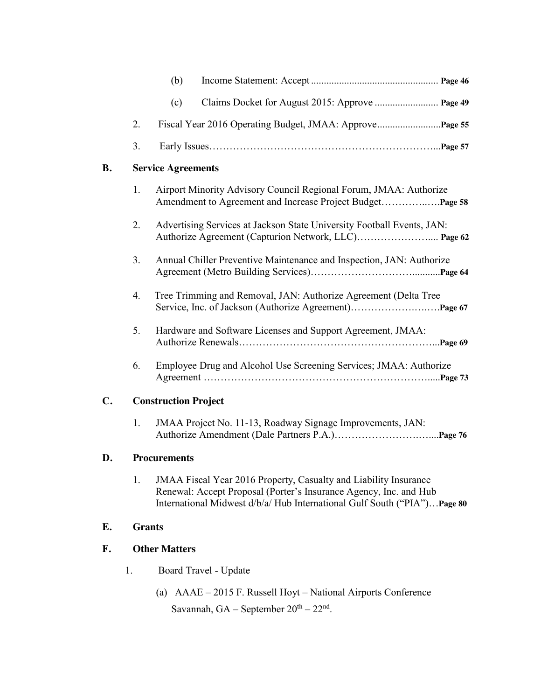|                |                             | (b)                                                                                                                                                                      |
|----------------|-----------------------------|--------------------------------------------------------------------------------------------------------------------------------------------------------------------------|
|                |                             | (c)<br>Claims Docket for August 2015: Approve  Page 49                                                                                                                   |
|                | 2.                          |                                                                                                                                                                          |
|                | 3.                          |                                                                                                                                                                          |
| <b>B.</b>      |                             | <b>Service Agreements</b>                                                                                                                                                |
|                | 1.                          | Airport Minority Advisory Council Regional Forum, JMAA: Authorize                                                                                                        |
|                | 2.                          | Advertising Services at Jackson State University Football Events, JAN:<br>Authorize Agreement (Capturion Network, LLC) Page 62                                           |
|                | 3.                          | Annual Chiller Preventive Maintenance and Inspection, JAN: Authorize                                                                                                     |
|                | 4.                          | Tree Trimming and Removal, JAN: Authorize Agreement (Delta Tree                                                                                                          |
|                | 5.                          | Hardware and Software Licenses and Support Agreement, JMAA:                                                                                                              |
|                | 6.                          | Employee Drug and Alcohol Use Screening Services; JMAA: Authorize                                                                                                        |
| $\mathbf{C}$ . | <b>Construction Project</b> |                                                                                                                                                                          |
|                |                             | $\mathbf{m}$ $\mathbf{r}$ $\mathbf{r}$ $\mathbf{r}$ $\mathbf{r}$ $\mathbf{r}$ $\mathbf{r}$ $\mathbf{r}$ $\mathbf{r}$ $\mathbf{r}$ $\mathbf{r}$ $\mathbf{r}$ $\mathbf{r}$ |

1. JMAA Project No. 11-13, Roadway Signage Improvements, JAN: Authorize Amendment (Dale Partners P.A.)…………………….…....**Page 76**

## **D. Procurements**

1. JMAA Fiscal Year 2016 Property, Casualty and Liability Insurance Renewal: Accept Proposal (Porter's Insurance Agency, Inc. and Hub International Midwest d/b/a/ Hub International Gulf South ("PIA")…**Page 80**

# **E. Grants**

## **F. Other Matters**

- 1. Board Travel Update
	- (a) AAAE 2015 F. Russell Hoyt National Airports Conference Savannah,  $GA - September 20<sup>th</sup> - 22<sup>nd</sup>$ .